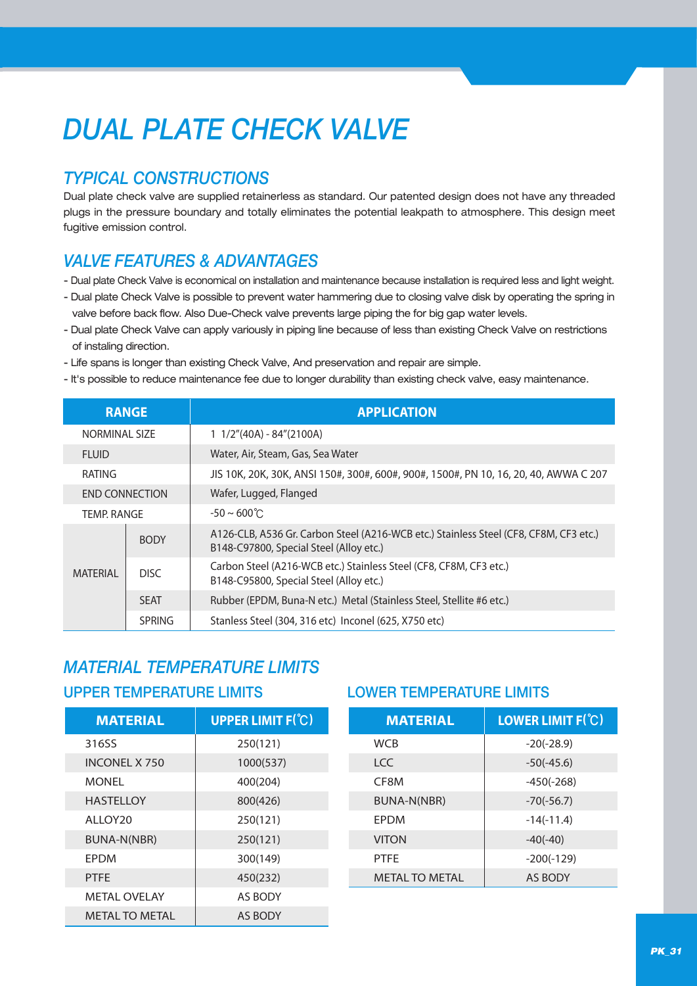# *DUAL PLATE CHECK VALVE*

## *TYPICAL CONSTRUCTIONS*

Dual plate check valve are supplied retainerless as standard. Our patented design does not have any threaded plugs in the pressure boundary and totally eliminates the potential leakpath to atmosphere. This design meet fugitive emission control.

## *VALVE FEATURES & ADVANTAGES*

- Dual plate Check Valve is economical on installation and maintenance because installation is required less and light weight.
- Dual plate Check Valve is possible to prevent water hammering due to closing valve disk by operating the spring in valve before back flow. Also Due-Check valve prevents large piping the for big gap water levels.
- Dual plate Check Valve can apply variously in piping line because of less than existing Check Valve on restrictions of instaling direction.
- Life spans is longer than existing Check Valve, And preservation and repair are simple.
- It's possible to reduce maintenance fee due to longer durability than existing check valve, easy maintenance.

| <b>RANGE</b>          |               | <b>APPLICATION</b>                                                                                                               |  |  |  |  |  |
|-----------------------|---------------|----------------------------------------------------------------------------------------------------------------------------------|--|--|--|--|--|
| NORMINAL SIZE         |               | $1 \frac{1}{2}$ (40A) - 84" (2100A)                                                                                              |  |  |  |  |  |
| <b>FLUID</b>          |               | Water, Air, Steam, Gas, Sea Water                                                                                                |  |  |  |  |  |
| RATING                |               | JIS 10K, 20K, 30K, ANSI 150#, 300#, 600#, 900#, 1500#, PN 10, 16, 20, 40, AWWA C 207                                             |  |  |  |  |  |
| <b>END CONNECTION</b> |               | Wafer, Lugged, Flanged                                                                                                           |  |  |  |  |  |
| <b>TEMP. RANGE</b>    |               | $-50 \sim 600^{\circ}$ C                                                                                                         |  |  |  |  |  |
| <b>MATERIAL</b>       | <b>BODY</b>   | A126-CLB, A536 Gr. Carbon Steel (A216-WCB etc.) Stainless Steel (CF8, CF8M, CF3 etc.)<br>B148-C97800, Special Steel (Alloy etc.) |  |  |  |  |  |
|                       | DISC.         | Carbon Steel (A216-WCB etc.) Stainless Steel (CF8, CF8M, CF3 etc.)<br>B148-C95800, Special Steel (Alloy etc.)                    |  |  |  |  |  |
|                       | <b>SFAT</b>   | Rubber (EPDM, Buna-N etc.) Metal (Stainless Steel, Stellite #6 etc.)                                                             |  |  |  |  |  |
|                       | <b>SPRING</b> | Stanless Steel (304, 316 etc) Inconel (625, X750 etc)                                                                            |  |  |  |  |  |

## *MATERIAL TEMPERATURE LIMITS*

### UPPER TEMPERATURE LIMITS LOWER TEMPERATURE LIMITS

| <b>MATERIAL</b>       | <b>UPPER LIMIT F(°C)</b> | <b>MATERIAL</b>       | <b>LOWER LIMIT F(C)</b> |  |  |
|-----------------------|--------------------------|-----------------------|-------------------------|--|--|
| 316SS                 | 250(121)                 | <b>WCB</b>            | $-20(-28.9)$            |  |  |
| <b>INCONEL X 750</b>  | 1000(537)                | <b>LCC</b>            | $-50(-45.6)$            |  |  |
| <b>MONEL</b>          | 400(204)                 | CF8M                  | $-450(-268)$            |  |  |
| <b>HASTELLOY</b>      | 800(426)                 | BUNA-N(NBR)           | $-70(-56.7)$            |  |  |
| ALLOY <sub>20</sub>   | 250(121)                 | EPDM                  | $-14(-11.4)$            |  |  |
| BUNA-N(NBR)           | 250(121)                 | <b>VITON</b>          | $-40(-40)$              |  |  |
| EPDM                  | 300(149)                 | <b>PTFE</b>           | $-200(-129)$            |  |  |
| <b>PTFE</b>           | 450(232)                 | <b>METAL TO METAL</b> | <b>AS BODY</b>          |  |  |
| <b>METAL OVELAY</b>   | <b>AS BODY</b>           |                       |                         |  |  |
| <b>METAL TO METAL</b> | AS BODY                  |                       |                         |  |  |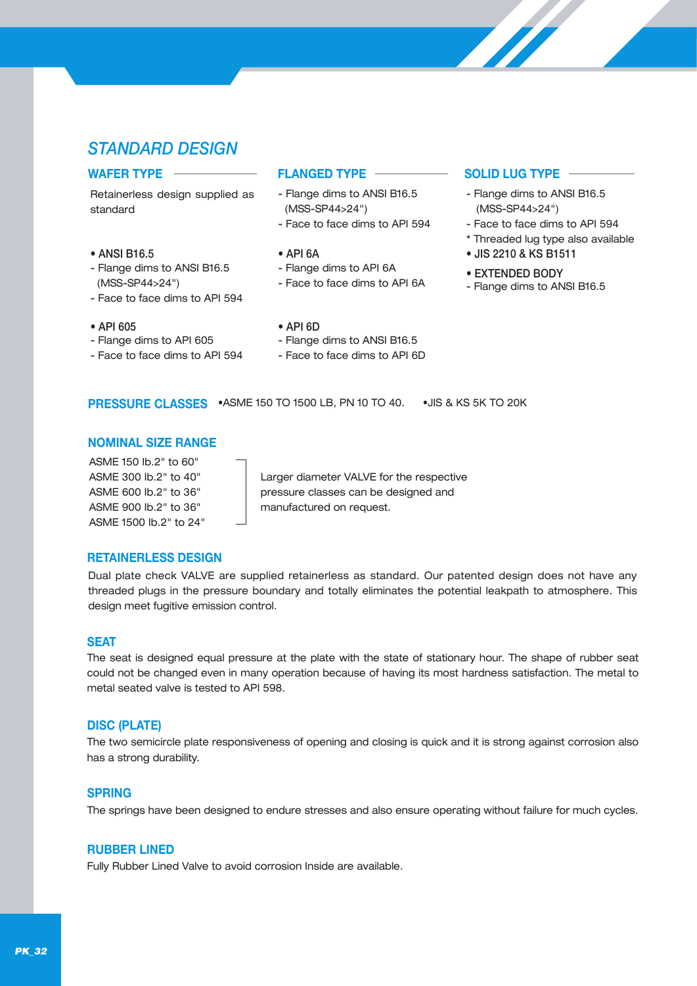## *STANDARD DESIGN*

Retainerless design supplied as standard

### • ANSI B16.5

- Flange dims to ANSI B16.5 (MSS-SP44>24")
- Face to face dims to API 594
- API 605
- Flange dims to API 605
- Face to face dims to API 594

### **WAFER TYPE FLANGED TYPE SOLID LUG TYPE**

- Flange dims to ANSI B16.5 (MSS-SP44>24")
- Face to face dims to API 594
- API 6A
- Flange dims to API 6A
- Face to face dims to API 6A

- Flange dims to ANSI B16.5 (MSS-SP44>24")
- Face to face dims to API 594
- \* Threaded lug type also available
- JIS 2210 & KS B1511
- EXTENDED BODY
- Flange dims to ANSI B16.5

- API 6D
- Flange dims to ANSI B16.5
- Face to face dims to API 6D
- **PRESSURE CLASSES** •ASME 150 TO 1500 LB, PN 10 TO 40. •JIS & KS 5K TO 20K

### **NOMINAL SIZE RANGE**

ASME 150 Ib.2" to 60" ASME 300 Ib.2" to 40" ASME 600 Ib.2" to 36" ASME 900 Ib.2" to 36" ASME 1500 Ib.2" to 24"

Larger diameter VALVE for the respective pressure classes can be designed and manufactured on request.

### **RETAINERLESS DESIGN**

Dual plate check VALVE are supplied retainerless as standard. Our patented design does not have any threaded plugs in the pressure boundary and totally eliminates the potential leakpath to atmosphere. This design meet fugitive emission control.

### **SEAT**

The seat is designed equal pressure at the plate with the state of stationary hour. The shape of rubber seat could not be changed even in many operation because of having its most hardness satisfaction. The metal to metal seated valve is tested to API 598.

### **DISC (PLATE)**

The two semicircle plate responsiveness of opening and closing is quick and it is strong against corrosion also has a strong durability.

### **SPRING**

The springs have been designed to endure stresses and also ensure operating without failure for much cycles.

### **RUBBER LINED**

Fully Rubber Lined Valve to avoid corrosion Inside are available.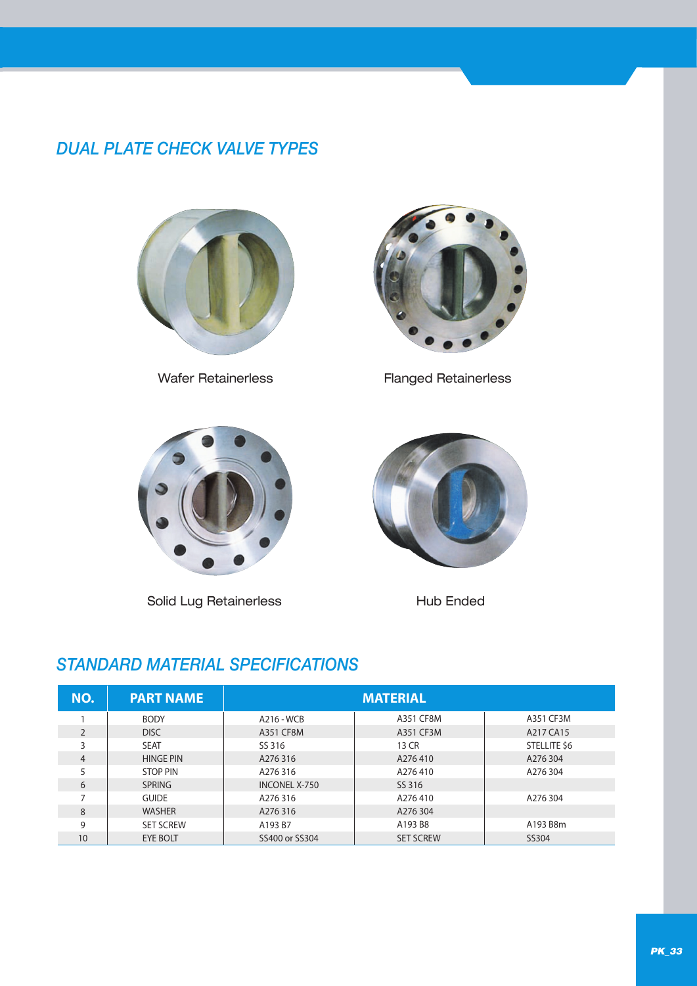## *DUAL PLATE CHECK VALVE TYPES*





Wafer Retainerless Flanged Retainerless



Solid Lug Retainerless Hub Ended



## *STANDARD MATERIAL SPECIFICATIONS*

| NO.            | <b>PART NAME</b> |                      |                  |                     |
|----------------|------------------|----------------------|------------------|---------------------|
|                | <b>BODY</b>      | A216 - WCB           | A351 CF8M        | A351 CF3M           |
| $\mathfrak{D}$ | <b>DISC</b>      | A351 CF8M            | A351 CF3M        | A217 CA15           |
| 3              | <b>SEAT</b>      | SS 316               | 13 CR            | <b>STELLITE \$6</b> |
| 4              | <b>HINGE PIN</b> | A276316              | A276410          | A276 304            |
|                | <b>STOP PIN</b>  | A276316              | A276410          | A276304             |
| 6              | <b>SPRING</b>    | <b>INCONEL X-750</b> | SS 316           |                     |
|                | <b>GUIDE</b>     | A276316              | A276410          | A276304             |
| 8              | <b>WASHER</b>    | A276316              | A276 304         |                     |
| 9              | <b>SET SCREW</b> | A193 B7              | A193 B8          | A193 B8m            |
| 10             | <b>EYE BOLT</b>  | SS400 or SS304       | <b>SET SCREW</b> | SS304               |